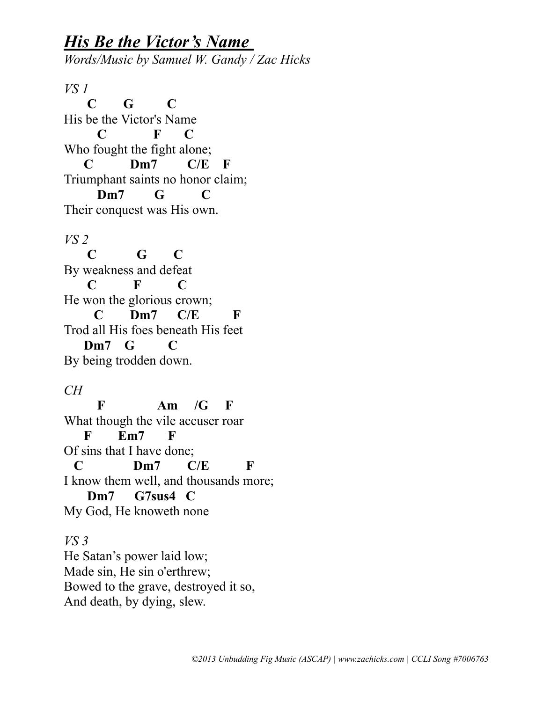## *His Be the Victor's Name*

*Words/Music by Samuel W. Gandy / Zac Hicks*

*VS 1*  **C G C** His be the Victor's Name  **C F C** Who fought the fight alone;  **C Dm7 C/E F** Triumphant saints no honor claim;  **Dm7 G C** Their conquest was His own.

*VS 2*  **C G C** By weakness and defeat **C F C** He won the glorious crown; **C Dm7 C/E F** Trod all His foes beneath His feet  **Dm7 G C** By being trodden down.

*CH*

 **F Am /G F** What though the vile accuser roar  **F Em7 F** Of sins that I have done;  **C Dm7 C/E F** I know them well, and thousands more;  **Dm7 G7sus4 C** My God, He knoweth none

*VS 3* He Satan's power laid low; Made sin, He sin o'erthrew; Bowed to the grave, destroyed it so, And death, by dying, slew.